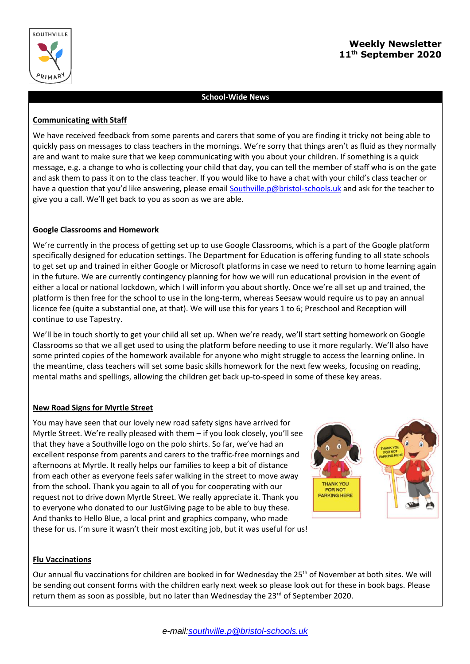

# **Weekly Newsletter 11th September 2020**

### **School-Wide News**

#### **Communicating with Staff**

We have received feedback from some parents and carers that some of you are finding it tricky not being able to quickly pass on messages to class teachers in the mornings. We're sorry that things aren't as fluid as they normally are and want to make sure that we keep communicating with you about your children. If something is a quick message, e.g. a change to who is collecting your child that day, you can tell the member of staff who is on the gate and ask them to pass it on to the class teacher. If you would like to have a chat with your child's class teacher or have a question that you'd like answering, please email [Southville.p@bristol-schools.uk](mailto:Southville.p@bristol-schools.uk) and ask for the teacher to give you a call. We'll get back to you as soon as we are able.

### **Google Classrooms and Homework**

We're currently in the process of getting set up to use Google Classrooms, which is a part of the Google platform specifically designed for education settings. The Department for Education is offering funding to all state schools to get set up and trained in either Google or Microsoft platforms in case we need to return to home learning again in the future. We are currently contingency planning for how we will run educational provision in the event of either a local or national lockdown, which I will inform you about shortly. Once we're all set up and trained, the platform is then free for the school to use in the long-term, whereas Seesaw would require us to pay an annual licence fee (quite a substantial one, at that). We will use this for years 1 to 6; Preschool and Reception will continue to use Tapestry.

We'll be in touch shortly to get your child all set up. When we're ready, we'll start setting homework on Google Classrooms so that we all get used to using the platform before needing to use it more regularly. We'll also have some printed copies of the homework available for anyone who might struggle to access the learning online. In the meantime, class teachers will set some basic skills homework for the next few weeks, focusing on reading, mental maths and spellings, allowing the children get back up-to-speed in some of these key areas.

## **New Road Signs for Myrtle Street**

You may have seen that our lovely new road safety signs have arrived for Myrtle Street. We're really pleased with them – if you look closely, you'll see that they have a Southville logo on the polo shirts. So far, we've had an excellent response from parents and carers to the traffic-free mornings and afternoons at Myrtle. It really helps our families to keep a bit of distance from each other as everyone feels safer walking in the street to move away from the school. Thank you again to all of you for cooperating with our request not to drive down Myrtle Street. We really appreciate it. Thank you to everyone who donated to our JustGiving page to be able to buy these. And thanks to Hello Blue, a local print and graphics company, who made these for us. I'm sure it wasn't their most exciting job, but it was useful for us!





#### **Flu Vaccinations**

Our annual flu vaccinations for children are booked in for Wednesday the 25<sup>th</sup> of November at both sites. We will be sending out consent forms with the children early next week so please look out for these in book bags. Please return them as soon as possible, but no later than Wednesday the 23<sup>rd</sup> of September 2020.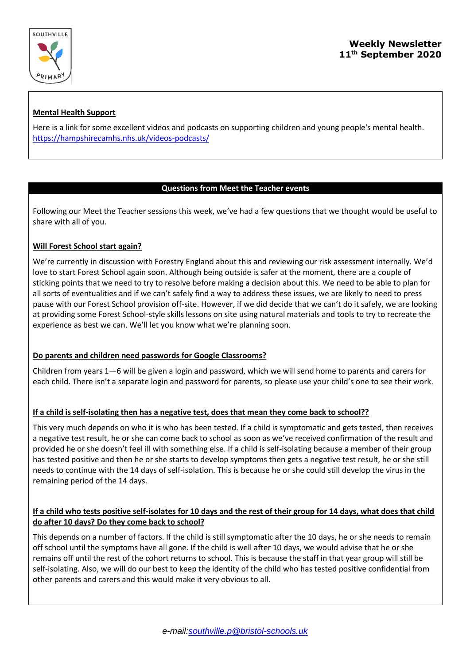

# **Mental Health Support**

Here is a link for some excellent videos and podcasts on supporting children and young people's mental health. <https://hampshirecamhs.nhs.uk/videos-podcasts/>

## **Questions from Meet the Teacher events**

Following our Meet the Teacher sessions this week, we've had a few questions that we thought would be useful to share with all of you.

## **Will Forest School start again?**

We're currently in discussion with Forestry England about this and reviewing our risk assessment internally. We'd love to start Forest School again soon. Although being outside is safer at the moment, there are a couple of sticking points that we need to try to resolve before making a decision about this. We need to be able to plan for all sorts of eventualities and if we can't safely find a way to address these issues, we are likely to need to press pause with our Forest School provision off-site. However, if we did decide that we can't do it safely, we are looking at providing some Forest School-style skills lessons on site using natural materials and tools to try to recreate the experience as best we can. We'll let you know what we're planning soon.

## **Do parents and children need passwords for Google Classrooms?**

Children from years 1—6 will be given a login and password, which we will send home to parents and carers for each child. There isn't a separate login and password for parents, so please use your child's one to see their work.

## **If a child is self-isolating then has a negative test, does that mean they come back to school??**

This very much depends on who it is who has been tested. If a child is symptomatic and gets tested, then receives a negative test result, he or she can come back to school as soon as we've received confirmation of the result and provided he or she doesn't feel ill with something else. If a child is self-isolating because a member of their group has tested positive and then he or she starts to develop symptoms then gets a negative test result, he or she still needs to continue with the 14 days of self-isolation. This is because he or she could still develop the virus in the remaining period of the 14 days.

# **If a child who tests positive self-isolates for 10 days and the rest of their group for 14 days, what does that child do after 10 days? Do they come back to school?**

This depends on a number of factors. If the child is still symptomatic after the 10 days, he or she needs to remain off school until the symptoms have all gone. If the child is well after 10 days, we would advise that he or she remains off until the rest of the cohort returns to school. This is because the staff in that year group will still be self-isolating. Also, we will do our best to keep the identity of the child who has tested positive confidential from other parents and carers and this would make it very obvious to all.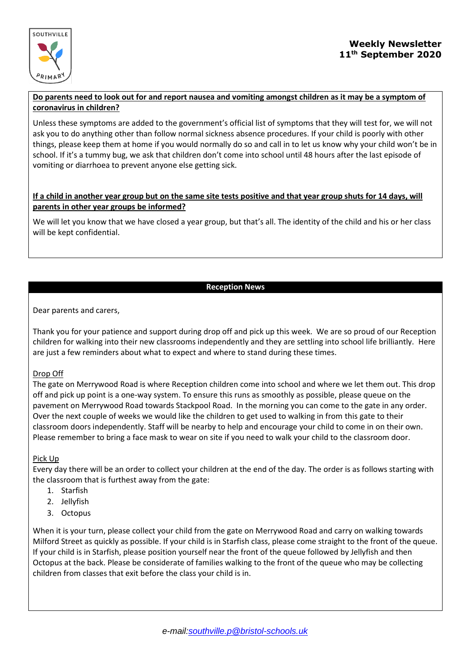

### **Do parents need to look out for and report nausea and vomiting amongst children as it may be a symptom of coronavirus in children?**

Unless these symptoms are added to the government's official list of symptoms that they will test for, we will not ask you to do anything other than follow normal sickness absence procedures. If your child is poorly with other things, please keep them at home if you would normally do so and call in to let us know why your child won't be in school. If it's a tummy bug, we ask that children don't come into school until 48 hours after the last episode of vomiting or diarrhoea to prevent anyone else getting sick.

# **If a child in another year group but on the same site tests positive and that year group shuts for 14 days, will parents in other year groups be informed?**

We will let you know that we have closed a year group, but that's all. The identity of the child and his or her class will be kept confidential.

## **Reception News**

## Dear parents and carers,

Thank you for your patience and support during drop off and pick up this week. We are so proud of our Reception children for walking into their new classrooms independently and they are settling into school life brilliantly. Here are just a few reminders about what to expect and where to stand during these times.

## Drop Off

The gate on Merrywood Road is where Reception children come into school and where we let them out. This drop off and pick up point is a one-way system. To ensure this runs as smoothly as possible, please queue on the pavement on Merrywood Road towards Stackpool Road. In the morning you can come to the gate in any order. Over the next couple of weeks we would like the children to get used to walking in from this gate to their classroom doors independently. Staff will be nearby to help and encourage your child to come in on their own. Please remember to bring a face mask to wear on site if you need to walk your child to the classroom door.

## Pick Up

Every day there will be an order to collect your children at the end of the day. The order is as follows starting with the classroom that is furthest away from the gate:

- 1. Starfish
- 2. Jellyfish
- 3. Octopus

When it is your turn, please collect your child from the gate on Merrywood Road and carry on walking towards Milford Street as quickly as possible. If your child is in Starfish class, please come straight to the front of the queue. If your child is in Starfish, please position yourself near the front of the queue followed by Jellyfish and then Octopus at the back. Please be considerate of families walking to the front of the queue who may be collecting children from classes that exit before the class your child is in.